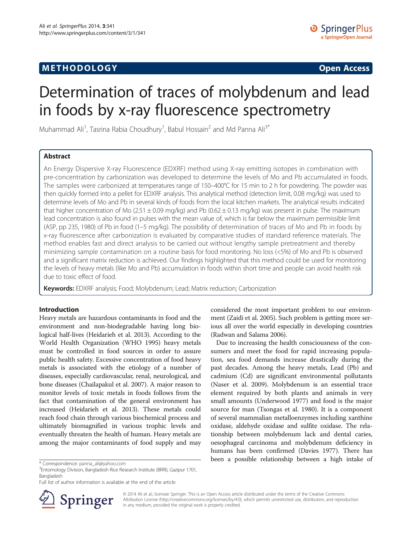## **METHODOLOGY CONSUMING ACCESS**

# Determination of traces of molybdenum and lead in foods by x-ray fluorescence spectrometry

Muhammad Ali<sup>1</sup>, Tasrina Rabia Choudhury<sup>1</sup>, Babul Hossain<sup>2</sup> and Md Panna Ali<sup>3\*</sup>

## Abstract

An Energy Dispersive X-ray Fluorescence (EDXRF) method using X-ray emitting isotopes in combination with pre-concentration by carbonization was developed to determine the levels of Mo and Pb accumulated in foods. The samples were carbonized at temperatures range of 150–400°C for 15 min to 2 h for powdering. The powder was then quickly formed into a pellet for EDXRF analysis. This analytical method (detection limit, 0.08 mg/kg) was used to determine levels of Mo and Pb in several kinds of foods from the local kitchen markets. The analytical results indicated that higher concentration of Mo ( $2.51 \pm 0.09$  mg/kg) and Pb ( $0.62 \pm 0.13$  mg/kg) was present in pulse. The maximum lead concentration is also found in pulses with the mean value of, which is far below the maximum permissible limit (ASP, pp 235, 1980) of Pb in food (1–5 mg/kg). The possibility of determination of traces of Mo and Pb in foods by x-ray fluorescence after carbonization is evaluated by comparative studies of standard reference materials. The method enables fast and direct analysis to be carried out without lengthy sample pretreatment and thereby minimizing sample contamination on a routine basis for food monitoring. No loss (<5%) of Mo and Pb is observed and a significant matrix reduction is achieved. Our findings highlighted that this method could be used for monitoring the levels of heavy metals (like Mo and Pb) accumulation in foods within short time and people can avoid health risk due to toxic effect of food.

Keywords: EDXRF analysis; Food; Molybdenum; Lead; Matrix reduction; Carbonization

## Introduction

Heavy metals are hazardous contaminants in food and the environment and non-biodegradable having long biological half-lives (Heidarieh et al. [2013\)](#page-8-0). According to the World Health Organization (WHO [1995](#page-8-0)) heavy metals must be controlled in food sources in order to assure public health safety. Excessive concentration of food heavy metals is associated with the etiology of a number of diseases, especially cardiovascular, renal, neurological, and bone diseases (Chailapakul et al. [2007\)](#page-7-0). A major reason to monitor levels of toxic metals in foods follows from the fact that contamination of the general environment has increased (Heidarieh et al. [2013\)](#page-8-0). These metals could reach food chain through various biochemical process and ultimately biomagnified in various trophic levels and eventually threaten the health of human. Heavy metals are among the major contaminants of food supply and may

<sup>3</sup>Entomology Division, Bangladesh Rice Research Institute (BRRI), Gazipur 1701, Bangladesh

Full list of author information is available at the end of the article



considered the most important problem to our environment (Zaidi et al. [2005](#page-8-0)). Such problem is getting more serious all over the world especially in developing countries (Radwan and Salama [2006](#page-8-0)).

Due to increasing the health consciousness of the consumers and meet the food for rapid increasing population, sea food demands increase drastically during the past decades. Among the heavy metals, Lead (Pb) and cadmium (Cd) are significant environmental pollutants (Naser et al. [2009\)](#page-8-0). Molybdenum is an essential trace element required by both plants and animals in very small amounts (Underwood [1977\)](#page-8-0) and food is the major source for man (Tsongas et al. [1980](#page-8-0)). It is a component of several mammalian metalloenzymes including xanthine oxidase, aldehyde oxidase and sulfite oxidase. The relationship between molybdenum lack and dental caries, oesophageal carcinoma and molybdenum deficiency in humans has been confirmed (Davies [1977](#page-7-0)). There has \* Correspondence: [panna\\_ali@yahoo.com](mailto:panna_ali@yahoo.com) **3. The correspondence: panna\_ali@yahoo.com** 3 been a possible relationship between a high intake of

> © 2014 Ali et al.; licensee Springer. This is an Open Access article distributed under the terms of the Creative Commons Attribution License [\(http://creativecommons.org/licenses/by/4.0\)](http://creativecommons.org/licenses/by/4.0), which permits unrestricted use, distribution, and reproduction in any medium, provided the original work is properly credited.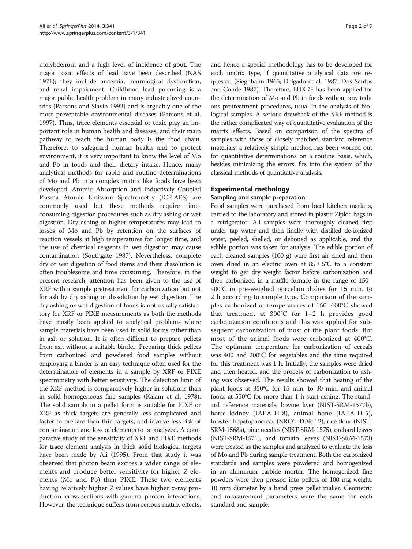molybdenum and a high level of incidence of gout. The major toxic effects of lead have been described (NAS [1971\)](#page-8-0); they include anaemia, neurological dysfunction, and renal impairment. Childhood lead poisoning is a major public health problem in many industrialized countries (Parsons and Slavin [1993\)](#page-8-0) and is arguably one of the most preventable environmental diseases (Parsons et al. [1997\)](#page-8-0). Thus, trace elements essential or toxic play an important role in human health and diseases, and their main pathway to reach the human body is the food chain. Therefore, to safeguard human health and to protect environment, it is very important to know the level of Mo and Pb in foods and their dietary intake. Hence, many analytical methods for rapid and routine determinations of Mo and Pb in a complex matrix like foods have been developed. Atomic Absorption and Inductively Coupled Plasma Atomic Emission Spectrometry (ICP-AES) are commonly used but these methods require timeconsuming digestion procedures such as dry ashing or wet digestion. Dry ashing at higher temperatures may lead to losses of Mo and Pb by retention on the surfaces of reaction vessels at high temperatures for longer time, and the use of chemical reagents in wet digestion may cause contamination (Southgate [1987](#page-8-0)). Nevertheless, complete dry or wet digestion of food items and their dissolution is often troublesome and time consuming. Therefore, in the present research, attention has been given to the use of XRF with a sample pretreatment for carbonization but not for ash by dry ashing or dissolution by wet digestion. The dry ashing or wet digestion of foods is not usually satisfactory for XRF or PIXE measurements as both the methods have mostly been applied to analytical problems where sample materials have been used in solid forms rather than in ash or solution. It is often difficult to prepare pellets from ash without a suitable binder. Preparing thick pellets from carbonized and powdered food samples without employing a binder is an easy technique often used for the determination of elements in a sample by XRF or PIXE spectrometry with better sensitivity. The detection limit of the XRF method is comparatively higher in solutions than in solid homogeneous fine samples (Kalam et al. [1978](#page-8-0)). The solid sample in a pellet form is suitable for PIXE or XRF as thick targets are generally less complicated and faster to prepare than thin targets, and involve less risk of contamination and loss of elements to be analyzed. A comparative study of the sensitivity of XRF and PIXE methods for trace element analysis in thick solid biological targets have been made by Ali [\(1995](#page-7-0)). From that study it was observed that photon beam excites a wider range of elements and produce better sensitivity for higher Z elements (Mo and Pb) than PIXE. These two elements having relatively higher Z values have higher x-ray production cross-sections with gamma photon interactions. However, the technique suffers from serious matrix effects,

and hence a special methodology has to be developed for each matrix type, if quantitative analytical data are requested (Sieghbahn [1965;](#page-8-0) Delgado et al. [1987;](#page-7-0) Dos Santos and Conde [1987](#page-8-0)). Therefore, EDXRF has been applied for the determination of Mo and Pb in foods without any tedious pretreatment procedures, usual in the analysis of biological samples. A serious drawback of the XRF method is the rather complicated way of quantitative evaluation of the matrix effects. Based on comparison of the spectra of samples with those of closely matched standard reference materials, a relatively simple method has been worked out for quantitative determinations on a routine basis, which, besides minimizing the errors, fits into the system of the classical methods of quantitative analysis.

## Experimental methology

## Sampling and sample preparation

Food samples were purchased from local kitchen markets, carried to the laboratory and stored in plastic Ziploc bags in a refrigerator. All samples were thoroughly cleaned first under tap water and then finally with distilled de-ionized water, peeled, shelled, or deboned as applicable, and the edible portion was taken for analysis. The edible portion of each cleaned samples (100 g) were first air dried and then oven dried in an electric oven at  $85 \pm 5^{\circ}$ C to a constant weight to get dry weight factor before carbonization and then carbonized in a muffle furnace in the range of 150– 400°C in pre-weighed porcelain dishes for 15 min. to 2 h according to sample type. Comparison of the samples carbonized at temperatures of 150–400°C showed that treatment at 300°C for 1–2 h provides good carbonization conditions and this was applied for subsequent carbonization of most of the plant foods. But most of the animal foods were carbonized at 400°C. The optimum temperature for carbonization of cereals was 400 and 200°C for vegetables and the time required for this treatment was 1 h. Initially, the samples were dried and then heated, and the process of carbonization to ashing was observed. The results showed that heating of the plant foods at 350°C for 15 min. to 30 min. and animal foods at 550°C for more than 1 h start ashing. The standard reference materials, bovine liver (NIST-SRM-1577b), horse kidney (IAEA-H-8), animal bone (IAEA-H-5), lobster hepatopancreas (NRCC-TORT-2), rice flour (NIST-SRM-1568a), pine needles (NIST-SRM-1575), orchard leaves (NIST-SRM-1571), and tomato leaves (NIST-SRM-1573) were treated as the samples and analyzed to evaluate the loss of Mo and Pb during sample treatment. Both the carbonized standards and samples were powdered and homogenized in an aluminum carbide mortar. The homogenized fine powders were then pressed into pellets of 100 mg weight, 10 mm diameter by a hand press pellet maker. Geometric and measurement parameters were the same for each standard and sample.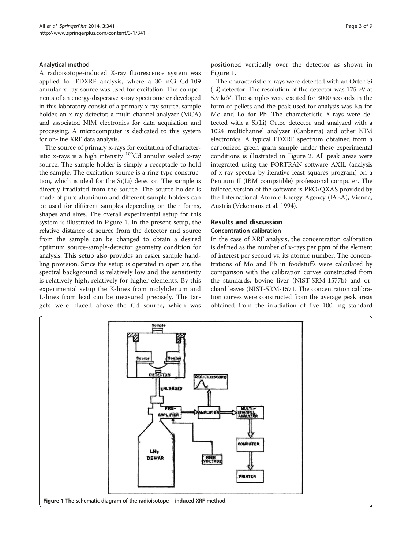## Analytical method

A radioisotope-induced X-ray fluorescence system was applied for EDXRF analysis, where a 30-mCi Cd-109 annular x-ray source was used for excitation. The components of an energy-dispersive x-ray spectrometer developed in this laboratory consist of a primary x-ray source, sample holder, an x-ray detector, a multi-channel analyzer (MCA) and associated NIM electronics for data acquisition and processing. A microcomputer is dedicated to this system for on-line XRF data analysis.

The source of primary x-rays for excitation of characteristic x-rays is a high intensity 109Cd annular sealed x-ray source. The sample holder is simply a receptacle to hold the sample. The excitation source is a ring type construction, which is ideal for the Si(Li) detector. The sample is directly irradiated from the source. The source holder is made of pure aluminum and different sample holders can be used for different samples depending on their forms, shapes and sizes. The overall experimental setup for this system is illustrated in Figure 1. In the present setup, the relative distance of source from the detector and source from the sample can be changed to obtain a desired optimum source-sample-detector geometry condition for analysis. This setup also provides an easier sample handling provision. Since the setup is operated in open air, the spectral background is relatively low and the sensitivity is relatively high, relatively for higher elements. By this experimental setup the K-lines from molybdenum and L-lines from lead can be measured precisely. The targets were placed above the Cd source, which was positioned vertically over the detector as shown in Figure 1.

The characteristic x-rays were detected with an Ortec Si (Li) detector. The resolution of the detector was 175 eV at 5.9 keV. The samples were excited for 3000 seconds in the form of pellets and the peak used for analysis was Kα for Mo and Lα for Pb. The characteristic X-rays were detected with a Si(Li) Ortec detector and analyzed with a 1024 multichannel analyzer (Canberra) and other NIM electronics. A typical EDXRF spectrum obtained from a carbonized green gram sample under these experimental conditions is illustrated in Figure [2.](#page-3-0) All peak areas were integrated using the FORTRAN software AXIL (analysis of x-ray spectra by iterative least squares program) on a Pentium II (IBM compatible) professional computer. The tailored version of the software is PRO/QXAS provided by the International Atomic Energy Agency (IAEA), Vienna, Austria (Vekemans et al. [1994\)](#page-8-0).

## Results and discussion

## Concentration calibration

In the case of XRF analysis, the concentration calibration is defined as the number of x-rays per ppm of the element of interest per second vs. its atomic number. The concentrations of Mo and Pb in foodstuffs were calculated by comparison with the calibration curves constructed from the standards, bovine liver (NIST-SRM-1577b) and orchard leaves (NIST-SRM-1571. The concentration calibration curves were constructed from the average peak areas obtained from the irradiation of five 100 mg standard

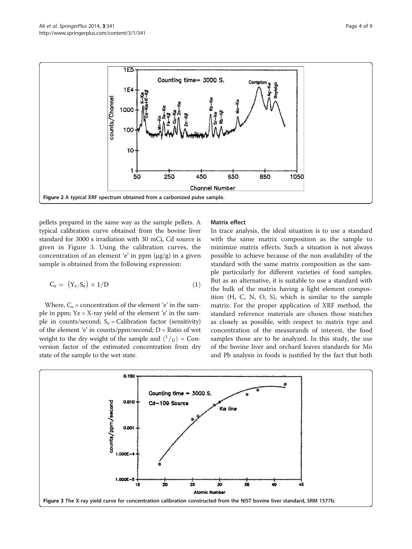<span id="page-3-0"></span>

pellets prepared in the same way as the sample pellets. A typical calibration curve obtained from the bovine liver standard for 3000 s irradiation with 30 mCi, Cd source is given in Figure 3. Using the calibration curves, the concentration of an element 'e' in ppm  $(\mu g/g)$  in a given sample is obtained from the following expression:

$$
C_e = \ \left(Y_{e}/S_e\right) \times 1/D \tag{1}
$$

Where,  $C_e$  = concentration of the element 'e' in the sample in ppm;  $Ye = X-ray$  yield of the element 'e' in the sample in counts/second;  $S_e =$  Calibration factor (sensitivity) of the element 'e' in counts/ppm/second; D = Ratio of wet weight to the dry weight of the sample and  $\binom{1}{D}$  = Conversion factor of the estimated concentration from dry state of the sample to the wet state.

## Matrix effect

In trace analysis, the ideal situation is to use a standard with the same matrix composition as the sample to minimize matrix effects. Such a situation is not always possible to achieve because of the non availability of the standard with the same matrix composition as the sample particularly for different varieties of food samples. But as an alternative, it is suitable to use a standard with the bulk of the matrix having a light element composition (H, C, N, O, S), which is similar to the sample matrix. For the proper application of XRF method, the standard reference materials are chosen those matches as closely as possible, with respect to matrix type and concentration of the measurands of interest, the food samples those are to be analyzed. In this study, the use of the bovine liver and orchard leaves standards for Mo and Pb analysis in foods is justified by the fact that both

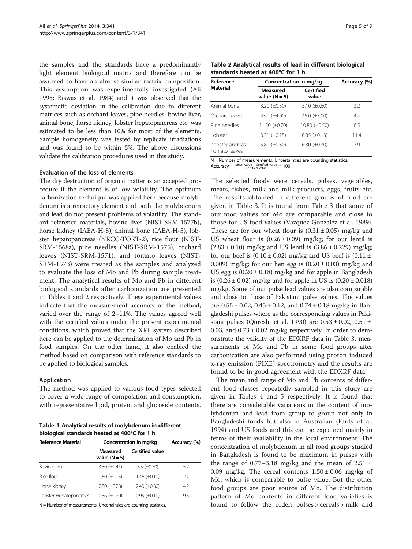the samples and the standards have a predominantly light element biological matrix and therefore can be assumed to have an almost similar matrix composition. This assumption was experimentally investigated (Ali [1995](#page-7-0); Biswas et al. [1984](#page-7-0)) and it was observed that the systematic deviation in the calibration due to different matrices such as orchard leaves, pine needles, bovine liver, animal bone, horse kidney, lobster hepatopancreas etc. was estimated to be less than 10% for most of the elements. Sample homogeneity was tested by replicate irradiations and was found to be within 5%. The above discussions validate the calibration procedures used in this study.

## Evaluation of the loss of elements

The dry destruction of organic matter is an accepted procedure if the element is of low volatility. The optimum carbonization technique was applied here because molybdenum is a refractory element and both the molybdenum and lead do not present problems of volatility. The standard reference materials, bovine liver (NIST-SRM-1577b), horse kidney (IAEA-H-8), animal bone (IAEA-H-5), lobster hepatopancreas (NRCC-TORT-2), rice flour (NIST-SRM-1568a), pine needles (NIST-SRM-1575), orchard leaves (NIST-SRM-1571), and tomato leaves (NIST-SRM-1573) were treated as the samples and analyzed to evaluate the loss of Mo and Pb during sample treatment. The analytical results of Mo and Pb in different biological standards after carbonization are presented in Tables 1 and 2 respectively. These experimental values indicate that the measurement accuracy of the method, varied over the range of 2–11%. The values agreed well with the certified values under the present experimental conditions, which proved that the XRF system described here can be applied to the determination of Mo and Pb in food samples. On the other hand, it also enabled the method based on comparison with reference standards to be applied to biological samples.

## Application

The method was applied to various food types selected to cover a wide range of composition and consumption, with representative lipid, protein and glucoside contents.

Table 1 Analytical results of molybdenum in different biological standards heated at 400°C for 1 h

| <b>Reference Material</b> | Concentration in mg/kg      |                        | Accuracy (%) |
|---------------------------|-----------------------------|------------------------|--------------|
|                           | Measured<br>value $(N = 5)$ | <b>Certified value</b> |              |
| <b>Bovine</b> liver       | 3.30 $(\pm 0.41)$           | 3.5 $(\pm 0.30)$       | 5.7          |
| Rice flour                | $1.50 \ (\pm 0.15)$         | $1.46 \ (\pm 0.10)$    | 2.7          |
| Horse kidney              | $2.30 \ (\pm 0.28)$         | $2.40 \ (\pm 0.30)$    | 4.2          |
| Lobster Hepatopancreas    | $0.86$ ( $\pm 0.20$ )       | $0.95 \ (\pm 0.10)$    | 9.5          |

N = Number of measurements. Uncertainties are counting statistics.

Table 2 Analytical results of lead in different biological standards heated at 400°C for 1 h

| Reference<br><b>Material</b>    | Concentration in mg/kg      | Accuracy (%)          |      |
|---------------------------------|-----------------------------|-----------------------|------|
|                                 | Measured<br>value $(N = 5)$ | Certified<br>value    |      |
| Animal bone                     | $3.20 (\pm 0.50)$           | $3.10 \ (\pm 0.60)$   | 3.2  |
| Orchard leaves                  | 43.0 $(\pm 4.00)$           | 45.0 $(\pm 3.00)$     | 4.4  |
| Pine needles                    | $11.50 (\pm 0.70)$          | $10.80 \ (\pm 0.50)$  | 6.5  |
| I obster                        | $0.31 (\pm 0.15)$           | $0.35$ ( $\pm 0.13$ ) | 11.4 |
| hepatopancreas<br>Tomato leaves | 5.80 $(\pm 0.30)$           | $6.30 \ (\pm 0.30)$   | 7.9  |

N = Number of measurements. Uncertainties are counting statistics.  $Accuracy = \frac{Mean value - Centified value}{Certified value} \times 100$ .

The selected foods were cereals, pulses, vegetables, meats, fishes, milk and milk products, eggs, fruits etc. The results obtained in different groups of food are given in Table [3](#page-5-0). It is found from Table [3](#page-5-0) that some of our food values for Mo are comparable and close to those for US food values (Vazquez-Gonzalez et al. [1989](#page-8-0)). These are for our wheat flour is  $(0.31 \pm 0.05)$  mg/kg and US wheat flour is  $(0.26 \pm 0.09)$  mg/kg; for our lentil is  $(2.83 \pm 0.10)$  mg/kg and US lentil is  $(3.86 \pm 0.229)$  mg/kg; for our beef is  $(0.10 \pm 0.02)$  mg/kg and US beef is  $(0.11 \pm 0.02)$ 0.009) mg/kg; for our hen egg is  $(0.20 \pm 0.03)$  mg/kg and US egg is  $(0.20 \pm 0.18)$  mg/kg and for apple in Bangladesh is (0.26  $\pm$  0.02) mg/kg and for apple in US is (0.20  $\pm$  0.018) mg/kg. Some of our pulse lead values are also comparable and close to those of Pakistani pulse values. The values are  $0.55 \pm 0.02$ ,  $0.45 \pm 0.12$ , and  $0.74 \pm 0.18$  mg/kg in Bangladeshi pulses where as the corresponding values in Pakistani pulses (Qureshi et al. [1990\)](#page-8-0) are 0.53 ± 0.02, 0.51 ± 0.03, and  $0.73 \pm 0.02$  mg/kg respectively. In order to demonstrate the validity of the EDXRF data in Table [3,](#page-5-0) measurements of Mo and Pb in some food groups after carbonization are also performed using proton induced x-ray emission (PIXE) spectrometry and the results are found to be in good agreement with the EDXRF data.

The mean and range of Mo and Pb contents of different food classes repeatedly sampled in this study are given in Tables [4](#page-5-0) and [5](#page-6-0) respectively. It is found that there are considerable variations in the content of molybdenum and lead from group to group not only in Bangladeshi foods but also in Australian (Fardy et al. [1994](#page-8-0)) and US foods and this can be explained mainly in terms of their availability in the local environment. The concentration of molybdenum in all food groups studied in Bangladesh is found to be maximum in pulses with the range of 0.77–3.18 mg/kg and the mean of  $2.51 \pm$ 0.09 mg/kg. The cereal contents  $1.50 \pm 0.06$  mg/kg of Mo, which is comparable to pulse value. But the other food groups are poor source of Mo. The distribution pattern of Mo contents in different food varieties is found to follow the order: pulses > cereals > milk and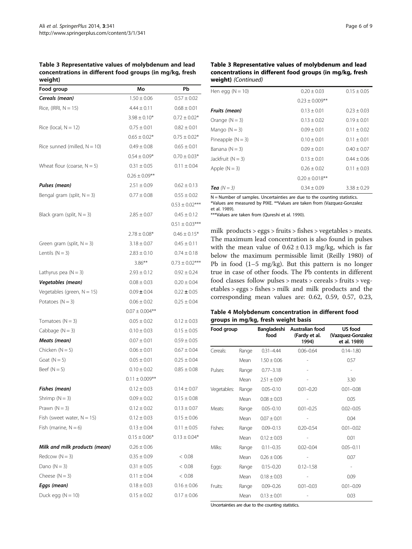<span id="page-5-0"></span>Table 3 Representative values of molybdenum and lead concentrations in different food groups (in mg/kg, fresh weight)

| Food group                      | Mo                  | Pb                  |
|---------------------------------|---------------------|---------------------|
| Cereals (mean)                  | $1.50 \pm 0.06$     | $0.57 \pm 0.02$     |
| Rice, (IRRI, $N = 15$ )         | $4.44 \pm 0.11$     | $0.68 \pm 0.01$     |
|                                 | $3.98 \pm 0.10*$    | $0.72 \pm 0.02*$    |
| Rice (local, $N = 12$ )         | $0.75 \pm 0.01$     | $0.82 \pm 0.01$     |
|                                 | $0.65 \pm 0.02*$    | $0.75 \pm 0.02*$    |
| Rice sunned (milled, $N = 10$ ) | $0.49 \pm 0.08$     | $0.65 \pm 0.01$     |
|                                 | $0.54 \pm 0.09*$    | $0.70 \pm 0.03*$    |
| Wheat flour (coarse, $N = 5$ )  | $0.31 \pm 0.05$     | $0.11 \pm 0.04$     |
|                                 | $0.26 \pm 0.09$ **  |                     |
| Pulses (mean)                   | $2.51 \pm 0.09$     | $0.62 \pm 0.13$     |
| Bengal gram (split, $N = 3$ )   | $0.77 \pm 0.08$     | $0.55 \pm 0.02$     |
|                                 |                     | $0.53 \pm 0.02$ *** |
| Black gram (split, $N = 3$ )    | $2.85 \pm 0.07$     | $0.45 \pm 0.12$     |
|                                 |                     | $0.51 \pm 0.03$ *** |
|                                 | $2.78 \pm 0.08*$    | $0.46 \pm 0.15*$    |
| Green gram (split, $N = 3$ )    | $3.18 \pm 0.07$     | $0.45 \pm 0.11$     |
| Lentils $(N = 3)$               | $2.83 \pm 0.10$     | $0.74 \pm 0.18$     |
|                                 | $3.86***$           | $0.73 \pm 0.02$ *** |
| Lathyrus pea $(N = 3)$          | $2.93 \pm 0.12$     | $0.92 \pm 0.24$     |
| Vegetables (mean)               | $0.08 \pm 0.03$     | $0.20 \pm 0.04$     |
| Vegetables (green, $N = 15$ )   | $0.09 \pm 0.04$     | $0.22 \pm 0.05$     |
| Potatoes $(N = 3)$              | $0.06 \pm 0.02$     | $0.25 \pm 0.04$     |
|                                 | $0.07 \pm 0.004$ ** |                     |
| Tomatoes $(N = 3)$              | $0.05\pm0.02$       | $0.12 \pm 0.03$     |
| Cabbage $(N = 3)$               | $0.10 \pm 0.03$     | $0.15 \pm 0.05$     |
| Meats (mean)                    | $0.07 \pm 0.01$     | $0.59 \pm 0.05$     |
| Chicken $(N = 5)$               | $0.06 \pm 0.01$     | $0.67 \pm 0.04$     |
| Goat $(N = 5)$                  | $0.05 \pm 0.01$     | $0.25 \pm 0.04$     |
| Beef $(N = 5)$                  | $0.10 \pm 0.02$     | $0.85 \pm 0.08$     |
|                                 | $0.11 \pm 0.009$ ** |                     |
| <b>Fishes</b> (mean)            | $0.12 \pm 0.03$     | $0.14 \pm 0.07$     |
| Shrimp $(N = 3)$                | $0.09 \pm 0.02$     | $0.15 \pm 0.08$     |
| Prawn $(N = 3)$                 | $0.12 \pm 0.02$     | $0.13 \pm 0.07$     |
| Fish (sweet water, $N = 15$ )   | $0.12 \pm 0.03$     | $0.15 \pm 0.06$     |
| Fish (marine, $N = 6$ )         | $0.13 \pm 0.04$     | $0.11 \pm 0.05$     |
|                                 | $0.15 \pm 0.06*$    | $0.13 \pm 0.04*$    |
| Milk and milk products (mean)   | $0.26 \pm 0.06$     |                     |
| $Redcow (N = 3)$                | $0.35 \pm 0.09$     | < 0.08              |
| Dano $(N = 3)$                  | $0.31 \pm 0.05$     | < 0.08              |
| Cheese $(N = 3)$                | $0.11 \pm 0.04$     | < 0.08              |
| Eggs (mean)                     | $0.18 \pm 0.03$     | $0.16 \pm 0.06$     |
| Duck egg $(N = 10)$             | $0.15 \pm 0.02$     | $0.17 \pm 0.06$     |

Table 3 Representative values of molybdenum and lead concentrations in different food groups (in mg/kg, fresh weight) (Continued)

| $N =$ Number of samples. Uncertainties are due to the counting statistics. |                     |                 |  |
|----------------------------------------------------------------------------|---------------------|-----------------|--|
| Tea $(N = 3)$                                                              | $0.34 + 0.09$       | $3.38 + 0.29$   |  |
|                                                                            | $0.20 \pm 0.018$ ** |                 |  |
| Apple $(N = 3)$                                                            | $0.26 + 0.02$       | $0.11 + 0.03$   |  |
| Jackfruit $(N = 3)$                                                        | $0.13 + 0.01$       | $0.44 + 0.06$   |  |
| Banana $(N = 3)$                                                           | $0.09 + 0.01$       | $0.40 + 0.07$   |  |
| Pineapple $(N = 3)$                                                        | $0.10 + 0.01$       | $0.11 \pm 0.01$ |  |
| Mango $(N = 3)$                                                            | $0.09 \pm 0.01$     | $0.11 \pm 0.02$ |  |
| Orange $(N = 3)$                                                           | $0.13 \pm 0.02$     | $0.19 \pm 0.01$ |  |
| Fruits (mean)                                                              | $0.13 + 0.01$       | $0.23 \pm 0.03$ |  |
|                                                                            | $0.23 \pm 0.009$ ** |                 |  |
| Hen egg $(N = 10)$                                                         | $0.20 + 0.03$       | $0.15 \pm 0.05$ |  |

\*Values are measured by PIXE. \*\*Values are taken from (Vazquez-Gonzalez et al. [1989](#page-8-0)).

\*\*\*Values are taken from (Qureshi et al. [1990](#page-8-0)).

milk products > eggs > fruits > fishes > vegetables > meats. The maximum lead concentration is also found in pulses with the mean value of  $0.62 \pm 0.13$  mg/kg, which is far below the maximum permissible limit (Reilly [1980\)](#page-8-0) of Pb in food (1–5 mg/kg). But this pattern is no longer true in case of other foods. The Pb contents in different food classes follow pulses > meats > cereals > fruits > vegetables > eggs > fishes > milk and milk products and the corresponding mean values are: 0.62, 0.59, 0.57, 0.23,

## Table 4 Molybdenum concentration in different food groups in mg/kg, fresh weight basis

| Food group  |       | Bangladeshi<br>food | Australian food<br>(Fardy et al.<br>1994) | US food<br>(Vazquez-Gonzalez<br>et al. 1989) |
|-------------|-------|---------------------|-------------------------------------------|----------------------------------------------|
| Cereals:    | Range | $0.31 - 4.44$       | $0.06 - 0.64$                             | $0.14 - 1.80$                                |
|             | Mean  | $1.50 \pm 0.06$     |                                           | 0.57                                         |
| Pulses:     | Range | $0.77 - 3.18$       |                                           |                                              |
|             | Mean  | $2.51 \pm 0.09$     |                                           | 3.30                                         |
| Vegetables: | Range | $0.05 - 0.10$       | $0.01 - 0.20$                             | $0.01 - 0.08$                                |
|             | Mean  | $0.08 + 0.03$       |                                           | 0.05                                         |
| Meats:      | Range | $0.05 - 0.10$       | $0.01 - 0.25$                             | $0.02 - 0.05$                                |
|             | Mean  | $0.07 + 0.01$       |                                           | 0.04                                         |
| Fishes:     | Range | $0.09 - 0.13$       | $0.20 - 0.54$                             | $0.01 - 0.02$                                |
|             | Mean  | $0.12 \pm 0.03$     |                                           | 0.01                                         |
| Milks:      | Range | $0.11 - 0.35$       | $0.02 - 0.04$                             | $0.05 - 0.11$                                |
|             | Mean  | $0.26 + 0.06$       |                                           | 0.07                                         |
| Eggs:       | Range | $0.15 - 0.20$       | $0.12 - 1.58$                             |                                              |
|             | Mean  | $0.18 \pm 0.03$     |                                           | 0.09                                         |
| Fruits:     | Range | $0.09 - 0.26$       | $0.01 - 0.03$                             | $0.01 - 0.09$                                |
|             | Mean  | $0.13 \pm 0.01$     |                                           | 0.03                                         |

Uncertainties are due to the counting statistics.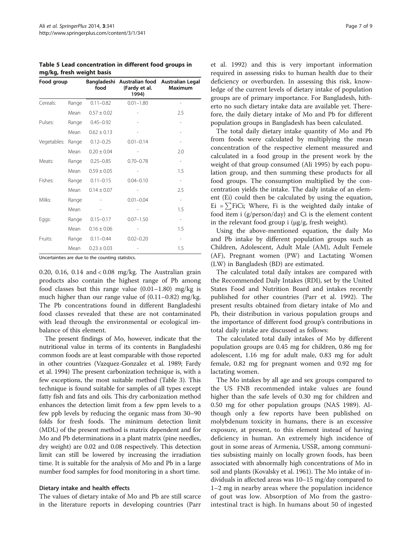<span id="page-6-0"></span>Table 5 Lead concentration in different food groups in mg/kg, fresh weight basis

| Food group  |       | food            | Bangladeshi Australian food<br>(Fardy et al.<br>1994) | <b>Australian Legal</b><br>Maximum |
|-------------|-------|-----------------|-------------------------------------------------------|------------------------------------|
| Cereals:    | Range | $0.11 - 0.82$   | $0.01 - 1.80$                                         |                                    |
|             | Mean  | $0.57 \pm 0.02$ |                                                       | 2.5                                |
| Pulses:     | Range | $0.45 - 0.92$   |                                                       |                                    |
|             | Mean  | $0.62 \pm 0.13$ |                                                       |                                    |
| Vegetables: | Range | $0.12 - 0.25$   | $0.01 - 0.14$                                         |                                    |
|             | Mean  | $0.20 \pm 0.04$ |                                                       | 2.0                                |
| Meats:      | Range | $0.25 - 0.85$   | $0.70 - 0.78$                                         | $\overline{\phantom{a}}$           |
|             | Mean  | $0.59 \pm 0.05$ |                                                       | 1.5                                |
| Fishes:     | Range | $0.11 - 0.15$   | $0.04 - 0.10$                                         | $\overline{\phantom{a}}$           |
|             | Mean  | $0.14 \pm 0.07$ |                                                       | 2.5                                |
| Milks:      | Range |                 | $0.01 - 0.04$                                         |                                    |
|             | Mean  |                 |                                                       | 1.5                                |
| Eggs:       | Range | $0.15 - 0.17$   | $0.07 - 1.50$                                         |                                    |
|             | Mean  | $0.16 \pm 0.06$ |                                                       | 1.5                                |
| Fruits:     | Range | $0.11 - 0.44$   | $0.02 - 0.20$                                         |                                    |
|             | Mean  | $0.23 \pm 0.03$ |                                                       | 1.5                                |

Uncertainties are due to the counting statistics.

0.20, 0.16, 0.14 and < 0.08 mg/kg. The Australian grain products also contain the highest range of Pb among food classes but this range value  $(0.01-1.80)$  mg/kg is much higher than our range value of (0.11–0.82) mg/kg. The Pb concentrations found in different Bangladeshi food classes revealed that these are not contaminated with lead through the environmental or ecological imbalance of this element.

The present findings of Mo, however, indicate that the nutritional value in terms of its contents in Bangladeshi common foods are at least comparable with those reported in other countries (Vazquez-Gonzalez et al. [1989;](#page-8-0) Fardy et al. [1994\)](#page-8-0) The present carbonization technique is, with a few exceptions, the most suitable method (Table [3](#page-5-0)). This technique is found suitable for samples of all types except fatty fish and fats and oils. This dry carbonization method enhances the detection limit from a few ppm levels to a few ppb levels by reducing the organic mass from 30–90 folds for fresh foods. The minimum detection limit (MDL) of the present method is matrix dependent and for Mo and Pb determinations in a plant matrix (pine needles, dry weight) are 0.02 and 0.08 respectively. This detection limit can still be lowered by increasing the irradiation time. It is suitable for the analysis of Mo and Pb in a large number food samples for food monitoring in a short time.

#### Dietary intake and health effects

The values of dietary intake of Mo and Pb are still scarce in the literature reports in developing countries (Parr et al. [1992\)](#page-8-0) and this is very important information required in assessing risks to human health due to their deficiency or overburden. In assessing this risk, knowledge of the current levels of dietary intake of population groups are of primary importance. For Bangladesh, hitherto no such dietary intake data are available yet. Therefore, the daily dietary intake of Mo and Pb for different population groups in Bangladesh has been calculated.

The total daily dietary intake quantity of Mo and Pb from foods were calculated by multiplying the mean concentration of the respective element measured and calculated in a food group in the present work by the weight of that group consumed (Ali [1995](#page-7-0)) by each population group, and then summing these products for all food groups. The consumption multiplied by the concentration yields the intake. The daily intake of an element (Ei) could then be calculated by using the equation, Ei =  $\sum$ FiCi; Where, Fi is the weighted daily intake of food item i (g/person/day) and Ci is the element content in the relevant food group i  $(\mu g/g, \text{ fresh weight}).$ 

Using the above-mentioned equation, the daily Mo and Pb intake by different population groups such as Children, Adolescent, Adult Male (AM), Adult Femele (AF), Pregnant women (PW) and Lactating Women (LW) in Bangladesh (BD) are estimated.

The calculated total daily intakes are compared with the Recommended Daily Intakes (RDI), set by the United States Food and Nutrition Board and intakes recently published for other countries (Parr et al. [1992](#page-8-0)). The present results obtained from dietary intake of Mo and Pb, their distribution in various population groups and the importance of different food group's contributions in total daily intake are discussed as follows:

The calculated total daily intakes of Mo by different population groups are 0.45 mg for children, 0.86 mg for adolescent, 1.16 mg for adult male, 0.83 mg for adult female, 0.82 mg for pregnant women and 0.92 mg for lactating women.

The Mo intakes by all age and sex groups compared to the US FNB recommended intake values are found higher than the safe levels of 0.30 mg for children and 0.50 mg for other population groups (NAS [1989](#page-8-0)). Although only a few reports have been published on molybdenum toxicity in humans, there is an excessive exposure, at present, to this element instead of having deficiency in human. An extremely high incidence of gout in some areas of Armenia, USSR, among communities subsisting mainly on locally grown foods, has been associated with abnormally high concentrations of Mo in soil and plants (Kovalsky et al. [1961\)](#page-8-0). The Mo intake of individuals in affected areas was 10–15 mg/day compared to 1–2 mg in nearby areas where the population incidence of gout was low. Absorption of Mo from the gastrointestinal tract is high. In humans about 50 of ingested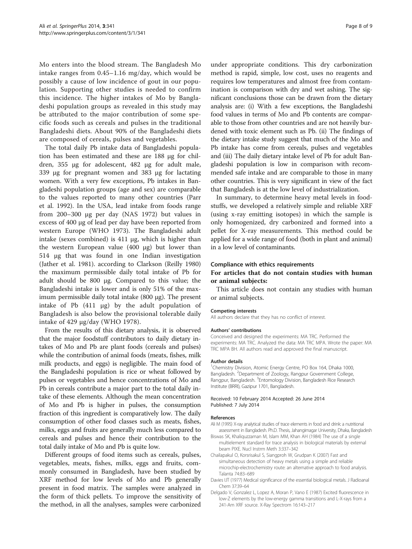<span id="page-7-0"></span>Mo enters into the blood stream. The Bangladesh Mo intake ranges from 0.45–1.16 mg/day, which would be possibly a cause of low incidence of gout in our population. Supporting other studies is needed to confirm this incidence. The higher intakes of Mo by Bangladeshi population groups as revealed in this study may be attributed to the major contribution of some specific foods such as cereals and pulses in the traditional Bangladeshi diets. About 90% of the Bangladeshi diets are composed of cereals, pulses and vegetables.

The total daily Pb intake data of Bangladeshi population has been estimated and these are 188 μg for children, 355 μg for adolescent, 482 μg for adult male, 339 μg for pregnant women and 383 μg for lactating women. With a very few exceptions, Pb intakes in Bangladeshi population groups (age and sex) are comparable to the values reported to many other countries (Parr et al. [1992\)](#page-8-0). In the USA, lead intake from foods range from 200–300 μg per day (NAS [1972](#page-8-0)) but values in excess of 400 μg of lead per day have been reported from western Europe (WHO [1973\)](#page-8-0). The Bangladeshi adult intake (sexes combined) is 411 μg, which is higher than the western European value (400 μg) but lower than 514 μg that was found in one Indian investigation (Jather et al. [1981](#page-8-0)). according to Clarkson (Reilly [1980](#page-8-0)) the maximum permissible daily total intake of Pb for adult should be 800 μg. Compared to this value; the Bangladeshi intake is lower and is only 51% of the maximum permissible daily total intake (800 μg). The present intake of Pb (411 μg) by the adult population of Bangladesh is also below the provisional tolerable daily intake of 429 μg/day (WHO [1978](#page-8-0)).

From the results of this dietary analysis, it is observed that the major foodstuff contributors to daily dietary intakes of Mo and Pb are plant foods (cereals and pulses) while the contribution of animal foods (meats, fishes, milk milk products, and eggs) is negligible. The main food of the Bangladeshi population is rice or wheat followed by pulses or vegetables and hence concentrations of Mo and Pb in cereals contribute a major part to the total daily intake of these elements. Although the mean concentration of Mo and Pb is higher in pulses, the consumption fraction of this ingredient is comparatively low. The daily consumption of other food classes such as meats, fishes, milks, eggs and fruits are generally much less compared to cereals and pulses and hence their contribution to the total daily intake of Mo and Pb is quite low.

Different groups of food items such as cereals, pulses, vegetables, meats, fishes, milks, eggs and fruits, commonly consumed in Bangladesh, have been studied by XRF method for low levels of Mo and Pb generally present in food matrix. The samples were analyzed in the form of thick pellets. To improve the sensitivity of the method, in all the analyses, samples were carbonized under appropriate conditions. This dry carbonization method is rapid, simple, low cost, uses no reagents and requires low temperatures and almost free from contamination is comparison with dry and wet ashing. The significant conclusions those can be drawn from the dietary analysis are: (i) With a few exceptions, the Bangladeshi food values in terms of Mo and Pb contents are comparable to those from other countries and are not heavily burdened with toxic element such as Pb. (ii) The findings of the dietary intake study suggest that much of the Mo and Pb intake has come from cereals, pulses and vegetables and (iii) The daily dietary intake level of Pb for adult Bangladeshi population is low in comparison with recommended safe intake and are comparable to those in many other countries. This is very significant in view of the fact that Bangladesh is at the low level of industrialization.

In summary, to determine heavy metal levels in foodstuffs, we developed a relatively simple and reliable XRF (using x-ray emitting isotopes) in which the sample is only homogenized, dry carbonized and formed into a pellet for X-ray measurements. This method could be applied for a wide range of food (both in plant and animal) in a low level of contaminants.

## Compliance with ethics requirements

## For articles that do not contain studies with human or animal subjects:

This article does not contain any studies with human or animal subjects.

#### Competing interests

All authors declare that they has no conflict of interest.

#### Authors' contributions

Conceived and designed the experiments: MA TRC. Performed the experiments: MA TRC. Analyzed the data: MA TRC MPA. Wrote the paper: MA TRC MPA BH. All authors read and approved the final manuscript.

#### Author details

<sup>1</sup>Chemistry Division, Atomic Energy Centre, PO Box 164, Dhaka 1000 Bangladesh. <sup>2</sup>Department of Zoology, Rangpur Government College, Rangpur, Bangladesh. <sup>3</sup>Entomology Division, Bangladesh Rice Research Institute (BRRI), Gazipur 1701, Bangladesh.

#### Received: 10 February 2014 Accepted: 26 June 2014 Published: 7 July 2014

#### References

- Ali M (1995) X-ray analytical studies of trace elements in food and drink: a nutritional assessment in Bangladesh. Ph.D. Thesis, Jahangirnagar University, Dhaka, Bangladesh
- Biswas SK, Khaliquzzaman M, Islam MM, Khan AH (1984) The use of a single multielement standard for trace analysis in biological materials by external beam PIXE. Nucl Instrm Meth 3:337–342
- Chailapakul O, Korsrisakul S, Siangproh W, Grudpan K (2007) Fast and simultaneous detection of heavy metals using a simple and reliable microchip-electrochemistry route: an alternative approach to food analysis. Talanta 74:83–689
- Davies IJT (1977) Medical significance of the essential biological metals. J Radioanal Chem 37:39–64
- Delgado V, Gonzalez L, Lopez A, Moran P, Vano E (1987) Excited fluorescence in low-Z elements by the low-energy gamma transitions and L-X-rays from a 241-Am XRF source. X-Ray Spectrom 16:143–217